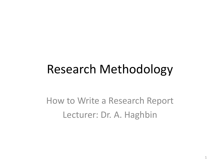#### Research Methodology

How to Write a Research Report Lecturer: Dr. A. Haghbin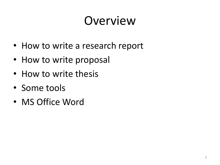### Overview

- How to write a research report
- How to write proposal
- How to write thesis
- Some tools
- MS Office Word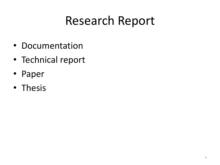- Documentation
- Technical report
- Paper
- Thesis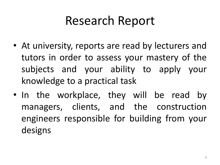- At university, reports are read by lecturers and tutors in order to assess your mastery of the subjects and your ability to apply your knowledge to a practical task
- In the workplace, they will be read by managers, clients, and the construction engineers responsible for building from your designs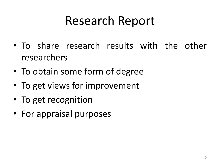- To share research results with the other researchers
- To obtain some form of degree
- To get views for improvement
- To get recognition
- For appraisal purposes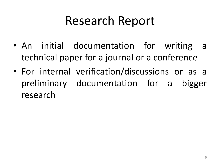- An initial documentation for writing a technical paper for a journal or a conference
- For internal verification/discussions or as a preliminary documentation for a bigger research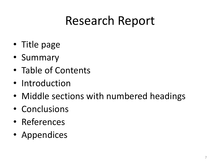- Title page
- Summary
- Table of Contents
- Introduction
- Middle sections with numbered headings
- Conclusions
- References
- Appendices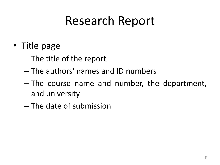- Title page
	- The title of the report
	- The authors' names and ID numbers
	- The course name and number, the department, and university
	- The date of submission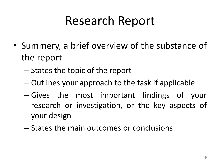- Summery, a brief overview of the substance of the report
	- States the topic of the report
	- Outlines your approach to the task if applicable
	- Gives the most important findings of your research or investigation, or the key aspects of your design
	- States the main outcomes or conclusions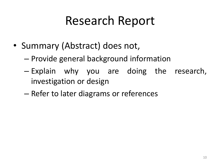- Summary (Abstract) does not,
	- Provide general background information
	- Explain why you are doing the research, investigation or design
	- Refer to later diagrams or references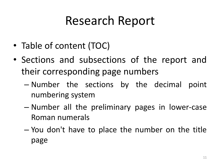- Table of content (TOC)
- Sections and subsections of the report and their corresponding page numbers
	- Number the sections by the decimal point numbering system
	- Number all the preliminary pages in lower-case Roman numerals
	- You don't have to place the number on the title page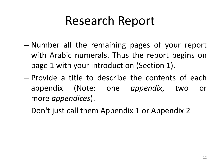- Number all the remaining pages of your report with Arabic numerals. Thus the report begins on page 1 with your introduction (Section 1).
- Provide a title to describe the contents of each appendix (Note: one *appendix*, two or more *appendices*).
- Don't just call them Appendix 1 or Appendix 2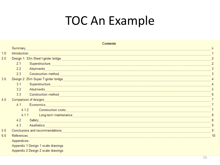### TOC An Example

|     |                                                                                                                                                                                                                                     | <b>Contents</b>                    |    |
|-----|-------------------------------------------------------------------------------------------------------------------------------------------------------------------------------------------------------------------------------------|------------------------------------|----|
|     | Summary                                                                                                                                                                                                                             |                                    | ii |
| 1.0 | Introduction                                                                                                                                                                                                                        |                                    |    |
| 2.0 |                                                                                                                                                                                                                                     |                                    |    |
|     | 2.1                                                                                                                                                                                                                                 | Superstructure                     | 2  |
|     | $2.2^{\circ}$                                                                                                                                                                                                                       | Abutments                          | 3  |
|     | 2.3                                                                                                                                                                                                                                 | <b>Construction method</b>         |    |
| 3.0 | Design 2: 25m Super T-girder bridge <b>Super State of the Contract Office</b> Superintending and the United States of the United States and Superintending and States and States and States and States and States and States and St |                                    |    |
|     | 3.1                                                                                                                                                                                                                                 | Superstructure                     | 4  |
|     | 3.2                                                                                                                                                                                                                                 | Abutments                          | 5  |
|     | 3.3 <sub>1</sub>                                                                                                                                                                                                                    | <b>Construction method</b>         |    |
| 4.0 | Comparison of designs                                                                                                                                                                                                               |                                    |    |
|     | 4.1                                                                                                                                                                                                                                 | Economics                          | 7  |
|     |                                                                                                                                                                                                                                     | 4.1.2<br>Construction costs        |    |
|     |                                                                                                                                                                                                                                     | 4.1.1 Long-term maintenance        |    |
|     | 4.2                                                                                                                                                                                                                                 | Safety                             | 8  |
|     | 4.3                                                                                                                                                                                                                                 | Aesthetics                         | 9  |
| 5.0 |                                                                                                                                                                                                                                     | Conclusions and recommendations    | 9  |
| 6.0 | References                                                                                                                                                                                                                          |                                    | 10 |
|     | Appendices:                                                                                                                                                                                                                         |                                    |    |
|     | Appendix 1 Design 1 scale drawings                                                                                                                                                                                                  |                                    |    |
|     |                                                                                                                                                                                                                                     | Appendix 2 Design 2 scale drawings |    |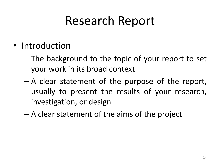- Introduction
	- The background to the topic of your report to set your work in its broad context
	- A clear statement of the purpose of the report, usually to present the results of your research, investigation, or design
	- A clear statement of the aims of the project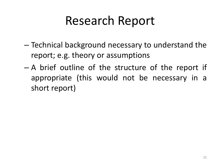- Technical background necessary to understand the report; e.g. theory or assumptions
- A brief outline of the structure of the report if appropriate (this would not be necessary in a short report)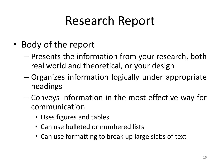- Body of the report
	- Presents the information from your research, both real world and theoretical, or your design
	- Organizes information logically under appropriate headings
	- Conveys information in the most effective way for communication
		- Uses figures and tables
		- Can use bulleted or numbered lists
		- Can use formatting to break up large slabs of text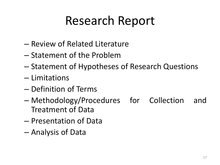- Review of Related Literature
- Statement of the Problem
- Statement of Hypotheses of Research Questions
- Limitations
- Definition of Terms
- Methodology/Procedures for Collection and Treatment of Data
- Presentation of Data
- Analysis of Data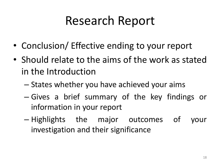- Conclusion/ Effective ending to your report
- Should relate to the aims of the work as stated in the Introduction
	- States whether you have achieved your aims
	- Gives a brief summary of the key findings or information in your report
	- Highlights the major outcomes of your investigation and their significance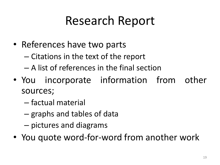- References have two parts
	- Citations in the text of the report
	- A list of references in the final section
- You incorporate information from other sources;
	- factual material
	- graphs and tables of data
	- pictures and diagrams
- You quote word-for-word from another work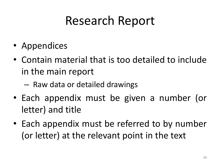- Appendices
- Contain material that is too detailed to include in the main report
	- Raw data or detailed drawings
- Each appendix must be given a number (or letter) and title
- Each appendix must be referred to by number (or letter) at the relevant point in the text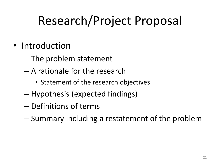- Introduction
	- The problem statement
	- A rationale for the research
		- Statement of the research objectives
	- Hypothesis (expected findings)
	- Definitions of terms
	- Summary including a restatement of the problem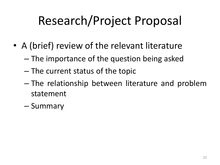- A (brief) review of the relevant literature
	- The importance of the question being asked
	- The current status of the topic
	- The relationship between literature and problem statement
	- Summary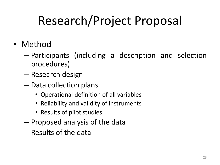- Method
	- Participants (including a description and selection procedures)
	- Research design
	- Data collection plans
		- Operational definition of all variables
		- Reliability and validity of instruments
		- Results of pilot studies
	- Proposed analysis of the data
	- Results of the data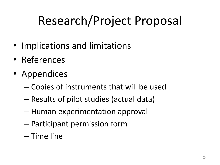- Implications and limitations
- References
- Appendices
	- Copies of instruments that will be used
	- Results of pilot studies (actual data)
	- Human experimentation approval
	- Participant permission form
	- Time line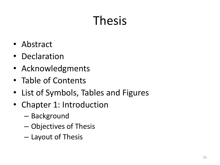## Thesis

- Abstract
- Declaration
- Acknowledgments
- Table of Contents
- List of Symbols, Tables and Figures
- Chapter 1: Introduction
	- Background
	- Objectives of Thesis
	- Layout of Thesis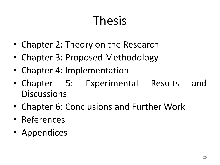## Thesis

- Chapter 2: Theory on the Research
- Chapter 3: Proposed Methodology
- Chapter 4: Implementation
- Chapter 5: Experimental Results and **Discussions**
- Chapter 6: Conclusions and Further Work
- References
- Appendices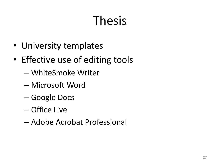# Thesis

- University templates
- Effective use of editing tools
	- WhiteSmoke Writer
	- Microsoft Word
	- Google Docs
	- Office Live
	- Adobe Acrobat Professional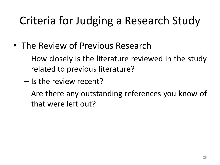#### Criteria for Judging a Research Study

- The Review of Previous Research
	- How closely is the literature reviewed in the study related to previous literature?
	- Is the review recent?
	- Are there any outstanding references you know of that were left out?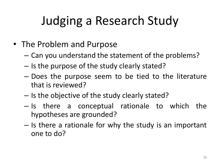- The Problem and Purpose
	- Can you understand the statement of the problems?
	- Is the purpose of the study clearly stated?
	- Does the purpose seem to be tied to the literature that is reviewed?
	- Is the objective of the study clearly stated?
	- Is there a conceptual rationale to which the hypotheses are grounded?
	- Is there a rationale for why the study is an important one to do?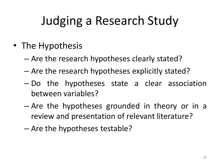- The Hypothesis
	- Are the research hypotheses clearly stated?
	- Are the research hypotheses explicitly stated?
	- Do the hypotheses state a clear association between variables?
	- Are the hypotheses grounded in theory or in a review and presentation of relevant literature?
	- Are the hypotheses testable?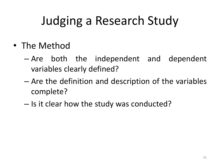- The Method
	- Are both the independent and dependent variables clearly defined?
	- Are the definition and description of the variables complete?
	- Is it clear how the study was conducted?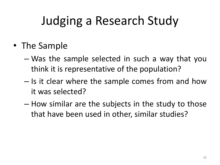- The Sample
	- Was the sample selected in such a way that you think it is representative of the population?
	- Is it clear where the sample comes from and how it was selected?
	- How similar are the subjects in the study to those that have been used in other, similar studies?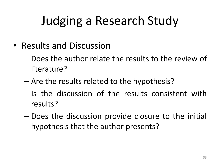- Results and Discussion
	- Does the author relate the results to the review of literature?
	- Are the results related to the hypothesis?
	- Is the discussion of the results consistent with results?
	- Does the discussion provide closure to the initial hypothesis that the author presents?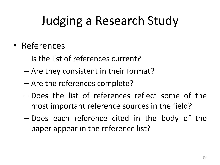- References
	- Is the list of references current?
	- Are they consistent in their format?
	- Are the references complete?
	- Does the list of references reflect some of the most important reference sources in the field?
	- Does each reference cited in the body of the paper appear in the reference list?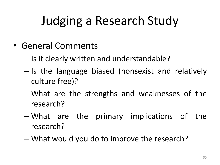- General Comments
	- Is it clearly written and understandable?
	- Is the language biased (nonsexist and relatively culture free)?
	- What are the strengths and weaknesses of the research?
	- What are the primary implications of the research?
	- What would you do to improve the research?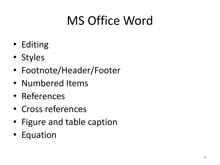## MS Office Word

- Editing
- Styles
- Footnote/Header/Footer
- Numbered Items
- References
- Cross references
- Figure and table caption
- Equation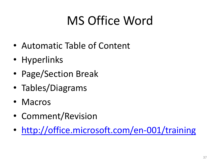### MS Office Word

- Automatic Table of Content
- Hyperlinks
- Page/Section Break
- Tables/Diagrams
- Macros
- Comment/Revision
- <http://office.microsoft.com/en-001/training>